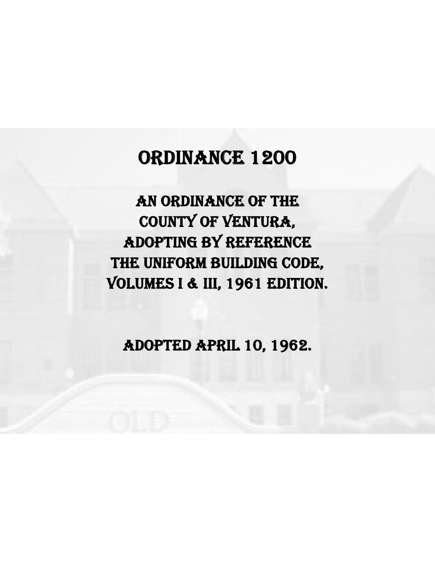# ORDINANCE 1200

AN ORDINANCE OF THE COUNTY OF VENTURA, ADOPTING BY REFERENCE THE UNIFORM BUILDING CODE, VOLUMES I & III, 1961 EDITION.

ADOPTED APRIL 10, 1962.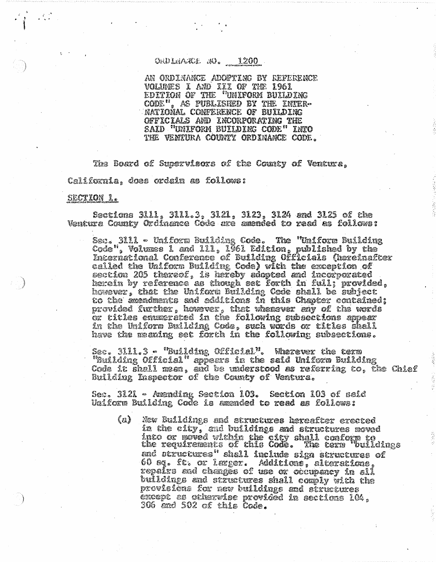## ORDLEAKE RD. 1200

AN ORDINANCE ADOPTING BY REFERENCE VOLUMES I AND III OF THE 1961<br>EDITION OF THE "UNIFORM BUILDING CODE", AS FUBLISHED BY THE INTER-NATIONAL CONFERENCE OF BUILDING OFFICIALS AND INCORPORATING THE SAID "UNIFORM BUILDING CODE" INTO THE VENIURA COUNTY ORDINANCE CODE.

The Board of Supervisors of the County of Venture, California, does ordain as follows:

#### SECTION 1.

Sections 3111, 3111.3, 3121, 3123, 3124 and 3125 of the Ventura County Ordinance Code are amended to read as follows:

Sec. 3111 - Uniform Building Code. The "Uniform Building Code", Volumes 1 and 111, 1961 Edicion, published by the International Conference of Building Officials (hereinafter called the Uniform Building Code) with the exception of sestion 205 thereof, is hareby adopted and incorporated herein by reference as though set forth in full; provided, however, that the Uniform Building Code shall be subject<br>to the amendments and additions in this Chapter contained; provided further, however, that whenever any of the words or titles enumerated in the following subsections sppear in the Uniform Building Code, such words or titles shall have the meaning set forth in the following subsections.

Sec. 3111.3 - "Building Official". Wherever the term "Building Official" appears in the said Uniform Building Code it shall mean, and be understood as referring to, the Chief Building Inspector of the County of Ventura.

Sec. 3121 – Amending Section 103. Section 103 of said Uniform Building Code is amended to read as follows:

 $(a)$ New Buildings and structures hereafter erected in the city, and buildings and structures moved into or moved within the city shall conform to<br>the requirements of this Code. The term "buildings and structures" shall include sign structures of 60 eq. ft. or læger. Additions, alterations, repairs and changes of use or orcupancy in all buildings and structures shall comply with the provisions for new buildings and structures except as otherwise provided in sections 104, 306 and 502 of this Code.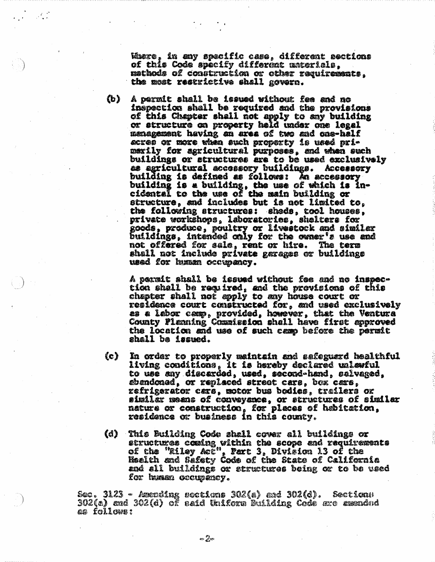Wiere, in any spacific case, different sections of this Code specify different unterials. mathods of construction or other requirements. the most restrictive shall govern.

 $(b)$ A permit shall be issued without fee and no inspection shall be required and the provisions of this Chapter shall not apply to any building or structure on property held under one legal management having an area of two and one-half acres or more when such property is used primerily for agricultural purposes, and when such buildings or structures are to be used exclusively as agricultural accessory buildings. Accessory building is defined as follows: An accessory building is a building, the use of which is incidental to the use of the main building or structure, and includes but is not limited to, the following structures: sheds, tool houses, private workshops, laboratories, shelters for goods, produce, poultry or livestock and similar<br>buildings, intended only for the owner's use and not offered for sale, rent or hire. The term shall not include private garages or buildings used for human occupancy.

A permit shall be issued without fee and no inspection shall be required, and the provisions of this chapter shall not apply to any house court or residence court constructed for, and used exclusively as a labor camp, provided, however, that the Ventura<br>County Planning Commission shall have first approved the location and use of such case before the permit shall ba issued.

- $(c)$ In order to properly maintain and safeguard healthful living conditions, it is hereby declared unlewful to use any discarded, used, second-hand, salvaged, abandonad, or replaced street cars, box cars, refrigerator cars, motor bus bodies, trailers or similar means of conveyance, or structures of similar nature or construction, for places of habitation, residence or business in this county.
- (d) This Building Code shall cover all buildings or etructures coming within the scope and requirements of the "Riley Act", Part 3, Division 13 of the Mealth and Sefety Code of the State of California and all buildings or structures being or to be used for husse occupatey.

Sec. 3123 - Azending soctions 302(a) and 302(d). Sections<br>302(a) and 302(d) of said Uniform Building Code are assended as follows:

ల పైబ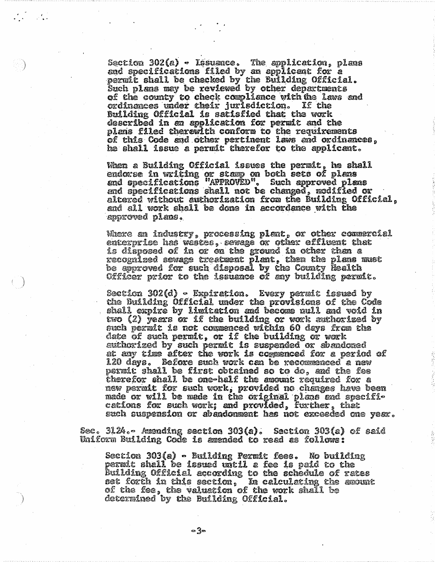Section 302(a) - Issuance. The application, plans<br>and specifications filed by an applicant for a permit shall be checked by the Bullding Official. Such plans may be reviewed by other departments of the county to check compliance with the laws and ordinances under their jurisdiction. If the Building Official is satisfied that the work described in an application for permit and the plans filed therewith conform to the requirements of this Code and other pertinent laws and ordinances. he shall issue a permit therefor to the applicant.

 $\mathcal{L} = \mathcal{L}$ 

When a Building Official issues the permit, he shall endorse in writing or stamp on both sets of plans and specifications "APPROVED". Such approved plans and specifications shall not be changed, modified or altered without authorization from the Building Official, and all work shall be done in accordance with the approved plans.

Where an industry, processing plant, or other commercial enterprise has westes, sewage or other effluent that is disposed of in or on the ground in other than a recognized sewage treatment plant, then the plans must be approved for such disposal by the County Health Officer prior to the issuence of any building permit.

Section 302(d) • Expiration. Every permit issued by the Building Official under the provisions of the Code shall expire by limitation and become null and void in two (2) years or if the building or work authorized by such permit is not commenced within 60 days from the date of such permit, or if the building or work authorized by such permit is suspended or sbandoned at any time after the work is commenced for a period of 120 days. Before such work can be recommenced a new permit shall be first obtained so to do, and the fee therefor shall be one-helf the amount required for a new permit for such work, provided no changes have been made or will be made in the original plans and specifi-<br>cations for such work; and provided, further, that such suspension or abandonment has not exceeded one year.

Sec. 3124.- Amending section 303(a). Section 303(a) of said Uniform Building Code is amended to read as followe:

Section 303(a) – Building Permit fees. No building permit shall be issued until a fee is paid to the Building Official according to the schedule of rates set forth in this section,  $\alpha$  calculating the azount of the fee, the valuation of the work shall be determined by the Building Official.

ం శ్రీల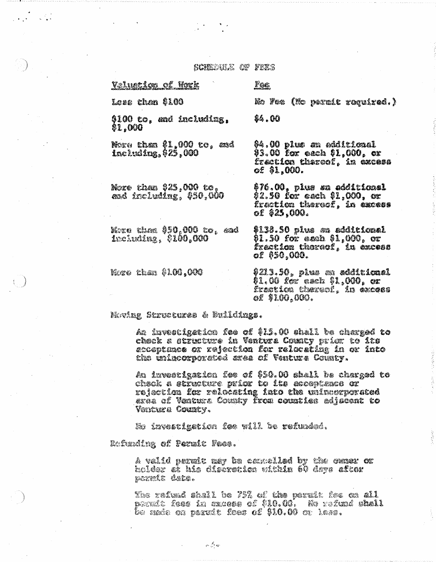ganger og pagg

Valuetion of Hork

Less than \$100

n Cal

#### Foc

\$4.00

No fee (No parait raquired.)

\$100 to, *a*nd including, \$1.000

Nore than \$1,000 to, and including, \$25,000

Nore than \$25,000 to, and including, \$50,000

Nezo than \$50,000 to, and *including 0100.000* 

kao than  $\emptyset$ l $\mathbf{M},\mathbf{M}$ 

04.00 plus *e*n additional 93.00 for each \$1,000, or fræt**ion t**hereof, in excess o£ \$1,000.

\$76.00, plus an additional \$2.50 for each \$1,000, or frection thereof, in excess of  $$25.000.$ 

\$138.50 plus an additional \$1.50 for each \$1,000, or frætiæ thoroof, in excoss oe 850,000.

\$213.50, plus an edditional 01.00 *le*r'each 91,000, or frætica theres!, in excess oe \$100.000.

#### Mwing Structures & Mulldings.

An investigation fee of \$15.00 shall be charged to chack a structure in Venture County prior to its accepturas or rejection for relocating in or into the iniscorperated area of Ventura Collaty.

*A*n investigation foe of \$50.00 shall he charged to check a structure prior to its acceptance or rejection for relotating into the mineerporated erse of Venture Commiy from counties adjacent to Ventura County.

No investigation fae will be refunded.

Refunding of Formic Fees.

A valid permit may be camelled by the owner of bolder ek bis disèrctica vithin 60 days aftor poratt dett.

The refund shall be 75% of the peruit fee on all perat foes in careas of \$10.00. We refund shall be made on paruit feas of \$10.00 or lass.

గత్తా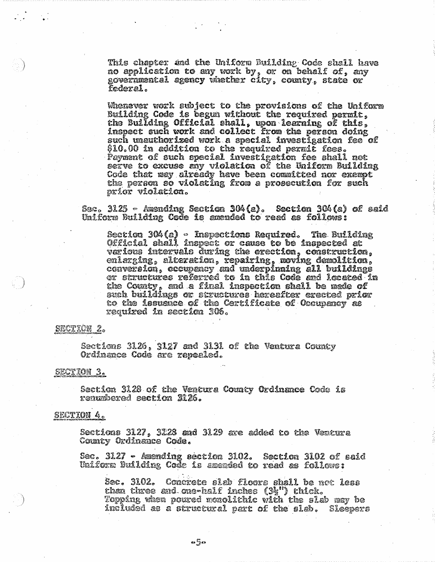This chapter and the Uniform Building Code shall have no application to any work by, or on behalf of, any governmental agency whether city, county, state or federal .

Whenever work subject to the provisions of the Uniform Building Code is begun without the required permit, the Building Official shall, upon learning of this, inspect such work and collect from the person doing such unauthorized work a special investigation fee of \$10.00 in addition to the required permit fees. Payment of such special investigation fee shall not serve to excuse any violation of the Uniform Building Code that may already have been committed nor exempt the person so violating from a prosecution for such príor violation.

Sec. 3125 - Amending Section 304(a). Section 304(a) of seid Uniform Building Code is amended to read as follows:

Section 304(a) - Inspections Required. The Building Official shall inspect or cause to be inspected at verious intervals during the erection, construction, enlarging, alteration, repairing, moving demolition, conversion, occupancy and underpinning all buildings<br>or structures referred to in this Code and located in the County, and a final inspection shall be made of such buildings or structures hereafter erected prior to the issuarce of the Certificate of Oncupancy as required in section 306.

#### **SECTION 2.**

Sections 3126, 3127 and 3131 of the Ventura County Ordinance Code are repealed.

# SECTION<sub>3</sub>.

Section 3128 of the Ventura County Ordinance Code is renumbered section 2126.

## SECTION 4.

Sections 3127, 3228 and 3129 are added to the Ventura County Ordinance Code.

Sec. 3127 – Amending section 3102. Section 3102 of said Uniform Building Code is amended to read as follows:

Sec. 3102. Concrete slab floors shall be not less chan three and one-half inches (3}") chick. Topping when poured monolithic with the slab may be included as a structural part of the slab. Sleepers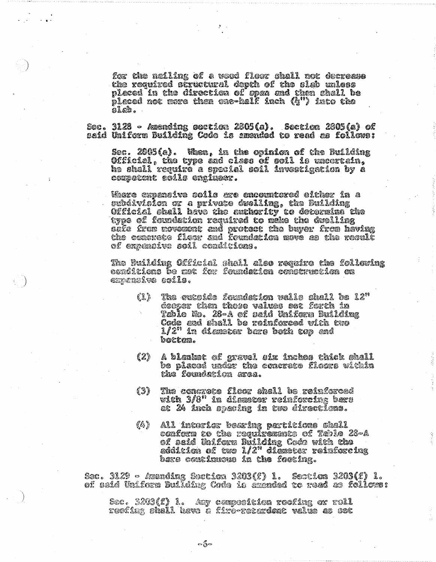for the neiling of a word floor chall not decrease the required structural depth of the slab unless pleced in the direction of spen and then shall be placed not more then one-half inch (h") into the  $\Omega$ .  $\Omega$ 

Sec. 3128 - Axending gestion 2805(a). Soction 2805(a) of said Uniform Building Code is susnded to read as follows:

Sec. 2005(e). When, in the opinion of the Building Official, the type and clses of soil is theortain,<br>he shall require a special soil investigation by a corpotont solle englmer.

Mare expansive soils are encountered either in a subdivision or a private dealling, the Building Gfficial shall have the authority to determina the type of foundation required to make the deelling séfe fran novosant and protoct the buyer frem having<br>the concrete floor and foundation move as the result of expendive soil comittions.

The Building Official shall also require the following condicions be met for formistion construction on enpansive coile.

- €1) The exteide foundetion valle shall be L2" dooper then those values set forth in Tablo No. 28-A of said Iniform Building<br>Code and shall be reinforced with two  $1/2"$  in diamster bare both top and botten.
- (2) A blanket of gravel odx inchos thick shall be placed under the concrete floers within the foundation area.
- The conerete floor shall be reinforced {3} with  $3/8$ " in dismeter reinforcing bære at 24 inch specing in two directions.
- $\ell_{\mathcal{B}}$ All interior bearing partitions shall conform to the requirements of Table 28-A of said laifors Building Code with the<br>eddition of two 1/2" diameter reinforcing bare continuous in the footing.

Sec. 3129 – Azunding Section 3203(f) 1. Section 3203(f) 1. of said Uniform Building Code is dubnded to reed as follows:

See. 3203(f) 1. Any cemposition roofing or roll reofing shall have a firo-retardent value as sot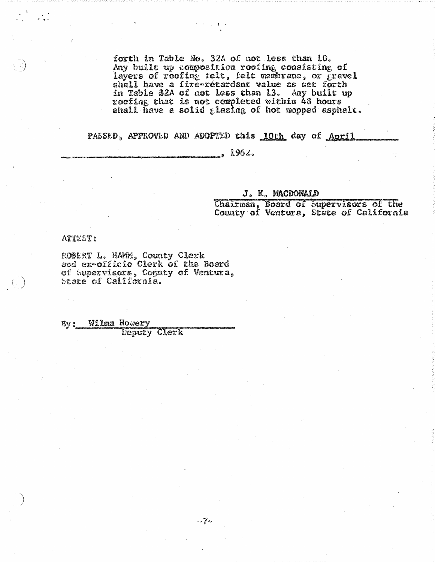forth in Table No. 32A of not less than 10. Any built up composition roofing consisting of<br>layers of roofing felt, felt membrane, or gravel<br>shall have a fire-retardant value as set forth in Table \$2A of not less than 13. Any built up roofing that is not completed within 43 hours shall have a solid glazing of hot mopped asphalt.

PASSED, APPROVED AND ADOPTED this 10th day of April

 $\sim$  11  $\times$ 

 $1962.$ 

#### J. K. MACDONALD

Chairman, Board of Supervisors of the County of Ventura, State of California

ATTEST:

t÷.

ROBERT L. HAMM, County Clerk and ex-officio Clerk of the Board of Supervisors, Cognty of Ventura, state of California.

Wilma Howery By: **Deputy Clerk**